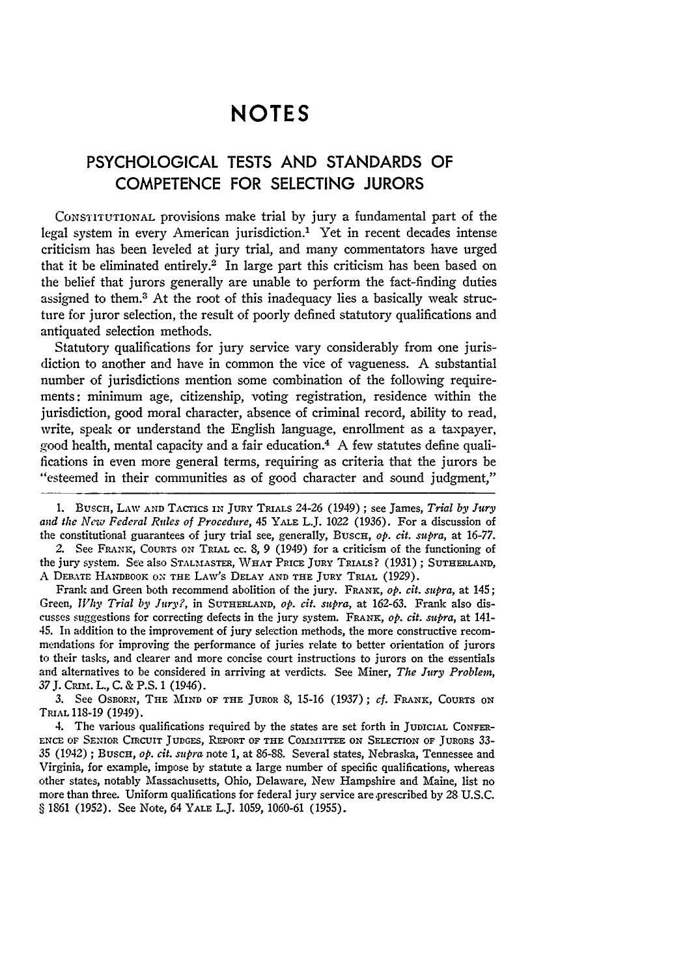## **NOTES**

## **PSYCHOLOGICAL TESTS AND STANDARDS** OF **COMPETENCE** FOR **SELECTING JURORS**

CONSTITUTIONAL provisions make trial **by** jury a fundamental part of the legal system in every American jurisdiction.' Yet in recent decades intense criticism has been leveled at jury trial, and many commentators have urged that it be eliminated entirely.<sup>2</sup> In large part this criticism has been based on the belief that jurors generally are unable to perform the fact-finding duties assigned to them.<sup>3</sup> At the root of this inadequacy lies a basically weak structure for juror selection, the result of poorly defined statutory qualifications and antiquated selection methods.

Statutory qualifications for jury service vary considerably from one jurisdiction to another and have in common the vice of vagueness. A substantial number of jurisdictions mention some combination of the following requirements: minimum age, citizenship, voting registration, residence within the jurisdiction, good moral character, absence of criminal record, ability to read, write, speak or understand the English language, enrollment as a taxpayer, good health, mental capacity and a fair education.<sup>4</sup> A few statutes define qualifications in even more general terms, requiring as criteria that the jurors be "esteemed in their communities as of good character and sound judgment,"

**1.** BUscH, LAW **AND** TACTICS **IN** JURY TRIALS 24-26 (1949) ; see James, *Trial by Jury and the New Federal Rites of Procedure,* 45 YALE L.J. 1022 (1936). For a discussion of the constitutional guarantees of jury trial see, generally, BUSCH, *op. cit. supra,* at 16-77.

*2.* See FRANK, COURTS **ON** TRIAL **CC.** 8, 9 (1949) for a criticism of the functioning of the jury system. See also **STALMASTER,** WHAT **PRICE JURY** TRIALS? (1931) ; **SUTHERLAND,** A DEBATE **HANDBOOK ON THE** LAW's **DELAY AND THE JURY TRIAL** (1929).

Frank and Green both recommend abolition of the jury. FRANK, *op. cit. sepra,* at 145; Green, *lVhy Trial by Jury?,* in **SUTHERLAND,** *op. cit. supra,* **at 162-63.** Frank also dis**cusses suggestions** for correcting defects in the jury system. FRANK, *op. cit. supra,* at 141- 45. In addition to the improvement of jury selection methods, the more constructive recommendations for improving the performance of juries relate to better orientation of jurors to their tasks, and clearer and more concise court instructions to jurors on the essentials and alternatives to be considered in arriving at verdicts. See Miner, *The Jury Problem,* **37J.** CRrm. L., **C.** & **P.S.** 1 (1946).

**3. See** OSBORN, **THE** MIND OF THE JUROR **8,** 15-16 (1937) **;** *cf.* FRANK, **COURTS ON** TRIAL 118-19 (1949).

4. The various qualifications required **by** the states are set forth in **JUDICIAL CONFER-ENCE OF** SENIOR **CIRCUIT** JUDGES, REPORT OF **THE COMMIrrEE ON SELECTION** OF JURORS 33- 35 (1942) ; BUSCH, *op. cit. supra* note 1, at **86-88.** Several states, Nebraska, Tennessee and Virginia, for example, impose by statute a large number of specific qualifications, whereas other states, notably Massachusetts, Ohio, Delaware, New Hampshire and Maine, list no more than three. Uniform qualifications for federal jury service are prescribed by 28 U.S.C. § 1861 (1952). See Note, 64 YALE L.J. 1059, 1060-61 (1955).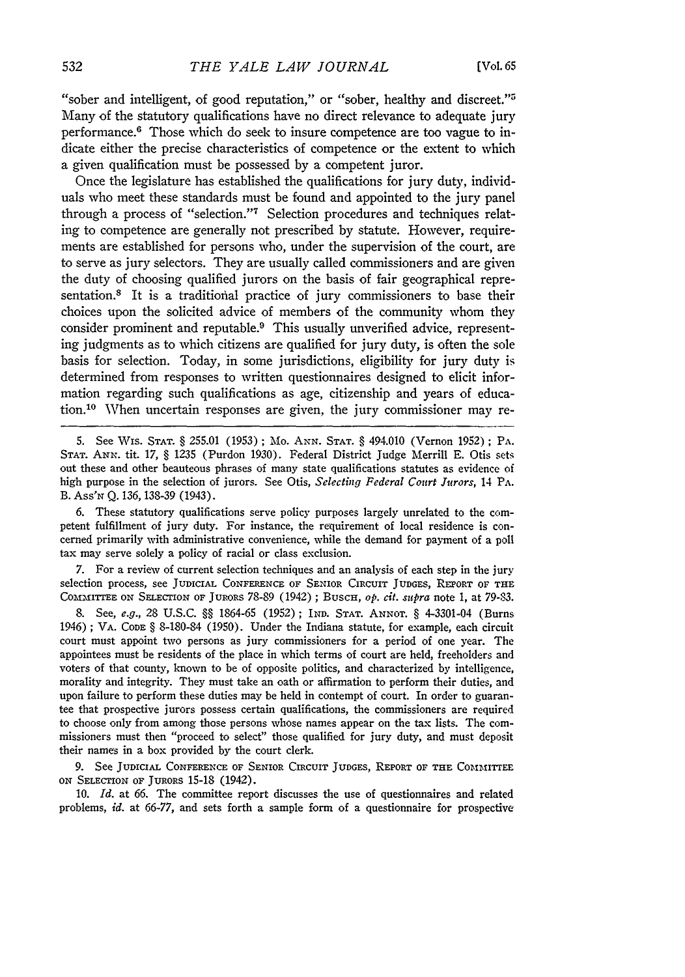"sober and intelligent, of good reputation," or "sober, healthy and discreet."5 Many of the statutory qualifications have no direct relevance to adequate jury performance.6 Those which do seek to insure competence are too vague to indicate either the precise characteristics of competence or the extent to which a given qualification must be possessed by a competent juror.

Once the legislature has established the qualifications for jury duty, individuals who meet these standards must be found and appointed to the jury panel through a process of "selection."<sup>7</sup> Selection procedures and techniques relating to competence are generally not prescribed by statute. However, requirements are established for persons who, under the supervision of the court, are to serve as jury selectors. They are usually called commissioners and are given the duty of choosing qualified jurors on the basis of fair geographical representation.<sup>8</sup> It is a traditional practice of jury commissioners to base their choices upon the solicited advice of members of the community whom they consider prominent and reputable.9 This usually unverified advice, representing judgments as to which citizens are qualified for jury duty, is often the sole basis for selection. Today, in some jurisdictions, eligibility for jury duty is determined from responses to written questionnaires designed to elicit information regarding such qualifications as age, citizenship and years of education.'0 When uncertain responses are given, the jury commissioner may re-

5. See Wis. **STAT.** § 255.01 (1953); Mo. ANN. **STAT.** § 494.010 (Vernon 1952); PA. **STAT.** ANN. tit. 17, § 1235 (Purdon 1930). Federal District Judge Merrill E. Otis sets out these and other beauteous phrases of many state qualifications statutes as evidence of high purpose in the selection of jurors. See Otis, *Selecting Federal Court Jurors,* 14 PA. B. Ass'N Q. 136, 138-39 (1943).

6. These statutory qualifications serve policy purposes largely unrelated to the competent fulfillment of jury duty. For instance, the requirement of local residence is concerned primarily with administrative convenience, while the demand for payment of a poll tax may serve solely a policy of racial or class exclusion.

7. For a review of current selection techniques and an analysis of each step in the jury selection process, see JUDICIAL CONFERENCE OF SENIOR CIRCUIT JUDGES, REFORT OF THE COMMITTEE ON SELECTION OF JURORS 78-89 (1942); Busch, *op. cit. supra* note 1, at 79-83.

**8.** See, *e.g.,* 28 **U.S.C.** §§ 1864-65 (1952); IND. STAT. **ANNOT.** § 4-3301-04 (Burns 1946) ; VA. CODE § 8-180-84 (1950). Under the Indiana statute, for example, each circuit court must appoint two persons as jury commissioners for a period of one year. The appointees must be residents of the place in which terms of court are held, freeholders and voters of that county, known to be of opposite politics, and characterized by intelligence, morality and integrity. They must take an oath or affirmation to perform their duties, and upon failure to perform these duties may be held in contempt of court. In order to guarantee that prospective jurors possess certain qualifications, the commissioners are required to choose only from among those persons whose names appear on the tax lists. The commissioners must then "proceed to select" those qualified for jury duty, and must deposit their names in a box provided by the court clerk.

**9.** See **JUDICIAL** CONFERENCE OF SENIOR CIRCUIT JUDGES, REPORT **OF THE** COMMITTEE **ON** SELECTION OF JURORS 15-18 (1942).

**10.** *Id.* at **66.** The committee report discusses the use of questionnaires and related problems, *id.* at 66-77, and sets forth a sample form of a questionnaire for prospective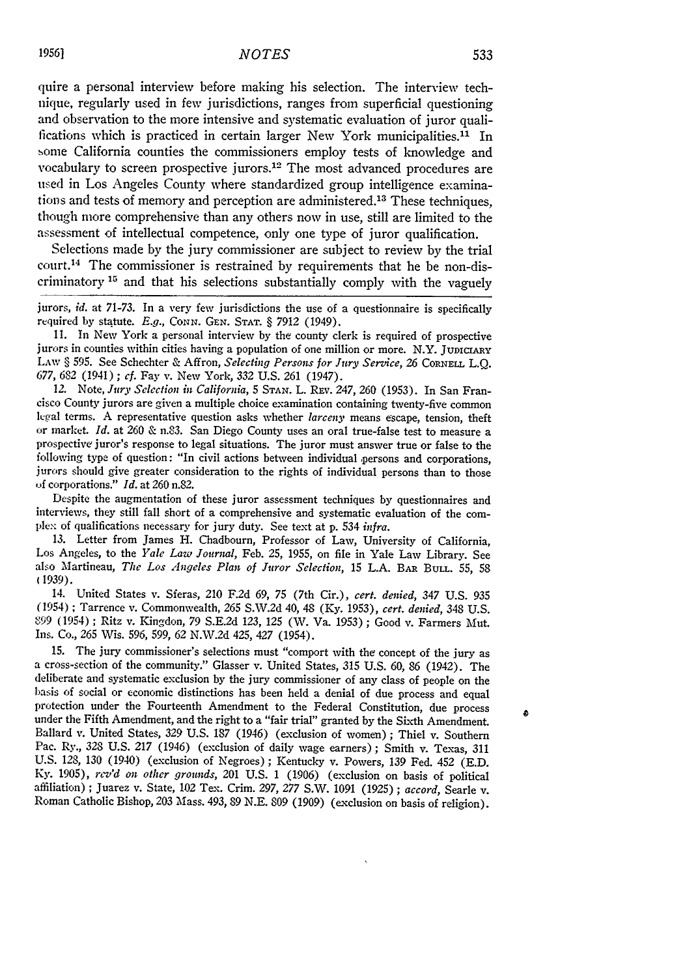quire a personal interview before making his selection. The interview technique, regularly used in few jurisdictions, ranges from superficial questioning and observation to the more intensive and systematic evaluation of juror qualifications which is practiced in certain larger New York municipalities.<sup>11</sup> In some California counties the commissioners employ tests of knowledge and vocabulary to screen prospective jurors.<sup>12</sup> The most advanced procedures are used in Los Angeles County where standardized group intelligence examinations and tests of memory and perception are administered.<sup>13</sup> These techniques, though more comprehensive than any others now in use, still are limited to the assessment of intellectual competence, only one type of juror qualification.

Selections made by the jury commissioner are subject to review by the trial court. 14 The commissioner is restrained by requirements that he be non-discriminatory **<sup>1</sup> 5** and that his selections substantially comply with the vaguely

jurors, *id.* at 71-73. In a very few jurisdictions the use of a questionnaire is specifically required by statute. *E.g., CONN.* **GEN. STAT.** § 7912 (1949).

**I1.** In New York a personal interview by the county clerk is required of prospective jurors in counties within cities having a population of one million or more. N.Y. JUDICIARY LAW § 595. See Schechter & **Affron,** *Selecting Persons for Jury Service, 26* CoRNEz **L.Q.** *677,* 682 (1941) **;** *cf.* Fay v. New York, *332* U.S. 261 (1947).

*12.* Note, *Jury Selection in California,* 5 **STAN.** L. REv. 247, 260 (1953). In San Francisco County jurors are given a multiple choice examination containing twenty-five common<br>legal terms. A representative question asks whether *larceny* means escape, tension, theft<br>or market. *Id.* at 260 & n.83. San Dieg following type of question: "In civil actions between individual persons and corporations, jurors should give greater consideration to the rights of individual persons than to those **of** corporations." *Id.* at 260 n.82.

Despite the augmentation of these juror assessment techniques by questionnaires and interviews, they still fall short of a comprehensive and systematic evaluation of the cornpie: of qualifications necessary for jury duty. See text at p. 534 *infra.*

13. Letter from James H. Chadbourn, Professor of Law, University of California, Los Angeles, to the *Yale Law Journal,* Feb. 25, 1955, on file in Yale Law Library. See also Martineau, *The Los Angeles Plan of Juror Selection,* 15 **L.A.** BAR BULL. *55,* 58 (1939).

14. United States v. Sferas, 210 F.2d 69, 75 (7th Cir.), *cert. denied, 347* U.S. 935 (1954) ; Tarrence v. Commonwealth, *265* S.W.2d 40, 48 (Ky. 1953), *cert. denied,* 348 U.S. **"99** (1954) ; Ritz v. Kingdon, 79 S.E.2d 123, 125 (W. Va. 1953) ; Good v. Farmers Mut. Ins. Co., 265 Wis. 596, 599, 62 N.W.2d 425, 427 (1954).

15. The jury commissioner's selections must "comport with the concept of the jury as a cross-section of the community." Glasser v. United States, 315 U.S. 60, 86 (1942). The deliberate and systematic exclusion by the jury commissioner of any class of people on the basis of social or economic distinctions has been held a denial of due process and equal protection under the Fourteenth Amendment to the Federal Constitution, due process under the Fifth Amendment, and the right to a "fair trial" granted by the Sixth Amendment. Ballard v. United States, 329 U.S. 187 (1946) (exclusion of women) ; Thiel v. Southern Pac. Ry., 328 U.S. 217 (1946) (exclusion of daily wage earners) ; Smith v. Texas, 311 U.S. *128,* 130 (1940) (exclusion of Negroes) ; Kentucky v. Powers, 139 Fed. 452 (E.D. Ky. 1905), *rev'd on other grounds,* 201 U.S. 1 (1906) (exclusion on basis of political affiliation) ; Juarez v. State, 102 Tex. Crim. *297, 277* S.W. 1091 (1925) ; *accord,* Searle v. Roman Catholic Bishop, 203 Mass. 493, 89 N.E. 809 (1909) (exclusion on basis of religion).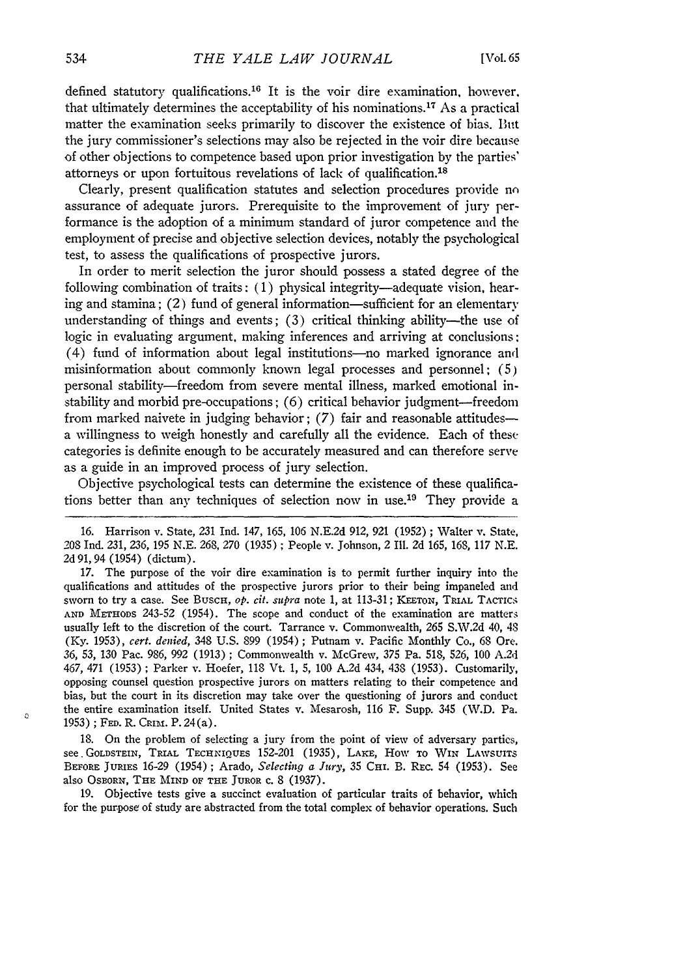defined statutory qualifications.<sup>16</sup> It is the voir dire examination, however, that ultimately determines the acceptability of his nominations.17 As a practical matter the examination seeks primarily to discover the existence of bias. But the jury commissioner's selections may also be rejected in the voir dire because of other objections to competence based upon prior investigation by the parties' attorneys or upon fortuitous revelations of lack of qualification.<sup>18</sup>

Clearly, present qualification statutes and selection procedures provide nn assurance of adequate jurors. Prerequisite to the improvement of jury performance is the adoption of a minimum standard of juror competence and the employment of precise and objective selection devices, notably the psychological test, to assess the qualifications of prospective jurors.

In order to merit selection the juror should possess a stated degree of the following combination of traits: (1) physical integrity-adequate vision, hearing and stamina; (2) fund of general information-sufficient for an elementary understanding of things and events;  $(3)$  critical thinking ability—the use of logic in evaluating argument, making inferences and arriving at conclusions: (4) fund of information about legal institutions-no marked ignorance and misinformation about commonly known legal processes and personnel; (5) personal stability-freedom from severe mental illness, marked emotional instability and morbid pre-occupations; (6) critical behavior judgment-freedom from marked naivete in judging behavior;  $(7)$  fair and reasonable attitudesa willingness to weigh honestly and carefully all the evidence. Each of these categories is definite enough to be accurately measured and can therefore serve as a guide in an improved process of jury selection.

Objective psychological tests can determine the existence of these qualifications better than any techniques of selection now in use.<sup>19</sup> They provide a

16. Harrison v. State, 231 Ind. 147, 165, 106 N.E.2d 912, 921 (1952) ; Walter v. State, 208 Ind. 231, 236, 195 N.E. 268, 270 (1935) ; People v. Johnson, 2 Ill. 2d 165, 168, 117 N.E. 2d 91, 94 (1954) (dictum).

**17.** The purpose of the voir dire examination is to permit further inquiry into the qualifications and attitudes of the prospective jurors prior to their being impaneled and sworn to try a case. See Busch, op. cit. supra note 1, at 113-31; KEETON, TRIAL TACTICS AND METHODS 243-52 (1954). The scope and conduct of the examination are matters usually left to the discretion of the court. Tarrance v. Commonwealth, 265 S.W.2d 40, 48 (Ky. 1953), *cert. denied,* 348 U.S. 899 (1954) ; Putnam v. Pacific Monthly Co., 68 Ore. *36, 53,* 130 Pac. 986, 992 (1913) ; Commonwealth v. McGrew, **375** Pa. 518, 526, 100 A.2d 467, 471 (1953) ; Parker v. Hoefer, 118 Vt. 1, 5, 100 A.2d 434, 438 (1953). Customarily, opposing counsel question prospective jurors on matters relating to their competence and bias, but the court in its discretion may take over the questioning of jurors and conduct the entire examination itself. United States v. Mesarosh, 116 F. Supp. 345 (W.D. Pa. 1953) ; **FED.** R. CRuM. P. 24(a).

18. On the problem of selecting a jury from the point of view of adversary partics, see, GOLDSTEIN, TRIAL TECHNIQUES 152-201 (1935), LAKE, HOW TO WIN LAWSUITS BEFORE JURIES 16-29 (1954) ; Arado, *Selecting a Jury,* 35 CHI. B. REc. 54 (1953). See also Osborn, The MIND OF THE JUROR c. 8 (1937).

19. Objective tests give a succinct evaluation of particular traits of behavior, which for the purpose of study are abstracted from the total complex of behavior operations. Such

 $\Omega$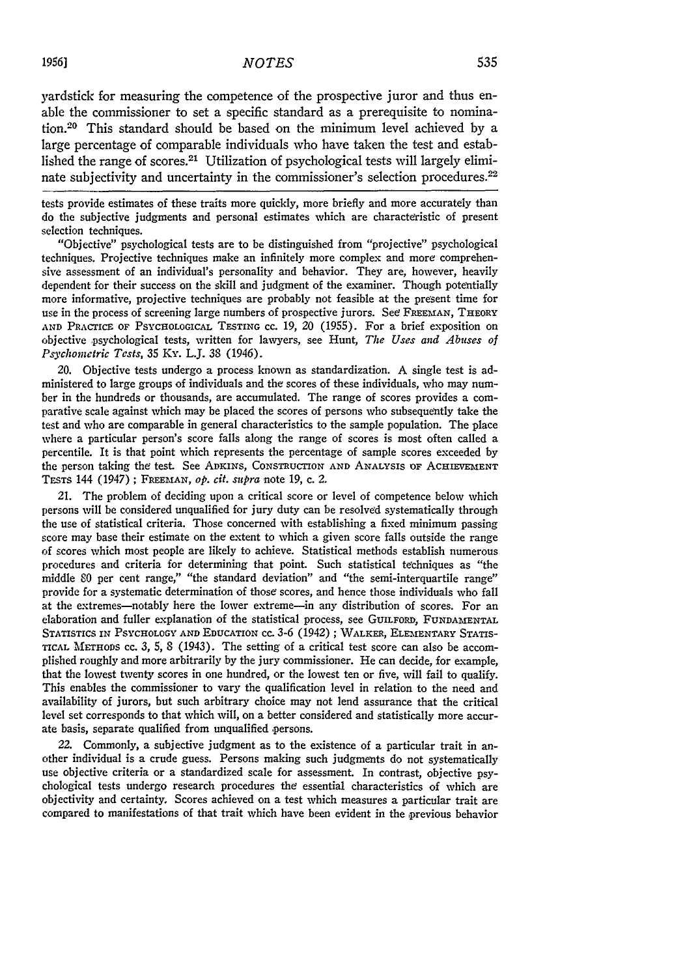yardstick for measuring the competence of the prospective juror and thus enable the commissioner to set a specific standard as a prerequisite to nomination.<sup>20</sup> This standard should be based on the minimum level achieved by a large percentage of comparable individuals who have taken the test and established the range of scores.21 Utilization of psychological tests will largely eliminate subjectivity and uncertainty in the commissioner's selection procedures.<sup>22</sup>

tests provide estimates of these traits more quickly, more briefly and more accurately than do the subjective judgments and personal estimates which are characteristic of present selection techniques.

"Objective" psychological tests are to be distinguished from "projective" psychological techniques. Projective techniques make an infinitely more complex and more comprehensive assessment of an individual's personality and behavior. They are, however, heavily dependent for their success on the skill and judgment of the examiner. Though potentially more informative, projective techniques are probably not feasible at the present time for use in the process of screening large numbers of prospective jurors. See FREEMAN, THEORY **AND** PRACrICE **OF PSYCHOLOGICAL TESTING CC. 19,** 20 **(1955).** For a brief exposition on objective psychological tests, written for lawyers, see Hunt, *The Uses and Abuses of Psychometric Tests,* **35** Ky. L.J. **38** (1946).

20. Objective tests undergo a process known as standardization. A single test is administered to large groups of individuals and the scores of these individuals, who may number in the hundreds or thousands, are accumulated. The range of scores provides a comparative scale against which may be placed the scores of persons who subsequently take the test and who are comparable in general characteristics to the sample population. The place where a particular person's score falls along the range of scores is most often called a percentile. It is that point which represents the percentage of sample scores exceeded by the person taking the test. See **ADKINS,** CONSTRucrION AND ANALYSIS OF ACHIEVEMENT TESTS 144 (1947); FREEMAN, op. cit. supra note 19, c. 2.

21. The problem of deciding upon a critical score or level of competence below which persons will be considered unqualified for jury duty can be resolved systematically through the use of statistical criteria. Those concerned with establishing a fixed minimum passing score may base their estimate on the extent to which a given score falls outside the range of scores which most people are likely to achieve. Statistical methods establish numerous procedures and criteria for determining that point. Such statistical techniques as "the middle **80** per cent range," "the standard deviation" and "the semi-interquartile range" provide for a systematic determination of those scores, and hence those individuals who fall at the extremes-notably here the lower extreme-in any distribution of scores. For an elaboration and fuller explanation of the statistical process, see **GUILFORD,** FUNDAMENTAL STATISTICS **IN** PSYCHOLOGY **AND EDUCATION** cc. **3-6** (1942) ; WALKER, ELEMENTARY **STATIS-**TICAL **METHODS** cC. *3,* 5, 8 (1943). The setting of a critical test score can also be accomplished roughly and more arbitrarily by the jury commissioner. He can decide, for example, that the lowest twenty scores in one hundred, or the lowest ten or five, will fail to qualify. This enables the commissioner to vary the qualification level in relation to the need and availability of jurors, but such arbitrary choice may not lend assurance that the critical level set corresponds to that which will, on a better considered and statistically more accurate basis, separate qualified from unqualified persons.

22. Commonly, a subjective judgment as to the existence of a particular trait in another individual is a crude guess. Persons making such judgments do not systematically use objective criteria or a standardized scale for assessment. In contrast, objective psychological tests undergo research procedures the essential characteristics of which are objectivity and certainty. Scores achieved on a test which measures a particular trait are compared to manifestations of that trait which have been evident in the previous behavior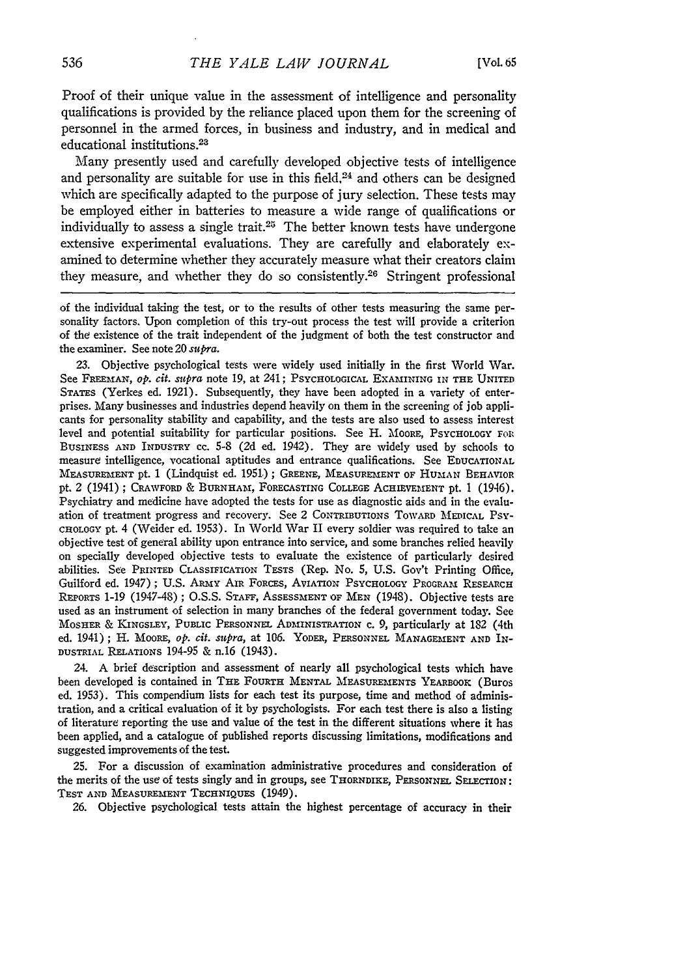Proof of their unique value in the assessment of intelligence and personality qualifications is provided by the reliance placed upon them for the screening of personnel in the armed forces, in business and industry, and in medical and educational institutions.<sup>23</sup>

Many presently used and carefully developed objective tests of intelligence and personality are suitable for use in this field. $24$  and others can be designed which are specifically adapted to the purpose of jury selection. These tests may be employed either in batteries to measure a wide range of qualifications or individually to assess a single trait.<sup>25</sup> The better known tests have undergone extensive experimental evaluations. They are carefully and elaborately examined to determine whether they accurately measure what their creators claim they measure, and whether they do so consistently.<sup>26</sup> Stringent professional

of the individual taking the test, or to the results of other tests measuring the same personality factors. Upon completion of this try-out process the test will provide a criterion of *the* existence of the trait independent of the judgment of both the test constructor and the examiner. See note 20 supra.

23. Objective psychological tests were widely used initially in the first World War. See FREEMAN, op. cit. supra note 19, at 241; PSYCHOLOGICAL EXAMINING IN THE **UNITED** STATES (Yerkes ed. 1921). Subsequently, they have been adopted in a variety of enterprises. Many businesses and industries depend heavily on them in the screening of job applicants for personality stability and capability, and the tests are also used to assess interest level and potential suitability for particular positions. See H. Moore, Psychology For BUSINESS **AND** INDUSTRY **cc.** 5-8 (2d ed. 1942). They are widely used **by** schools to measure intelligence, vocational aptitudes and entrance qualifications. See EDUCATIONAL **MEASUREMENT** pt. 1 (Lindquist ed. 1951); GREENE, MEASUREMENT OF HUMAN BEHAVIOR pt. 2 (1941) ; CRAWFORD & BURNHAM, FORECASTING COLLEGE ACHIEVEMENT pt. 1 (1946). Psychiatry and medicine have adopted the tests for use as diagnostic aids and in the evaluation of treatment progress and recovery. See 2 CONTRIBUTIONS TOWARD **MEDICAL** PSY-CHOLOGY pt. 4 (Weider ed. 1953). In World War II every soldier was required to take an objective test of general ability upon entrance into service, and some branches relied heavily on specially developed objective tests to evaluate the existence of particularly desired abilities. See PRINTED CLASSIFICATION TESTS (Rep. No. 5, **U.S.** Gov't Printing Office, Guilford ed. 1947); **U.S.** AMY AIR FORCES, AVIATION PSYCHOLOGY PROGRAM **RESEARCH** REPORTS 1-19 (1947-48) ; O.S.S. STAFF, ASSESSMENT OF **MEN** (1948). Objective tests are used as an instrument of selection in many branches of the federal government today. See MOSHER & KINGSLEY, PUBLIC PERSONNEL ADMINISTRATION c. 9, particularly at 182 (4th ed. 1941); H. MoORE, *op.* cit. supra, at 106. YODER, PERSONNEL MANAGEMENT **AND** IN-DUSTRIAL RELATIONS 194-95 & n.16 (1943).

24. A brief description and assessment of nearly all psychological tests which have been developed is contained in THE FOURTH MENTAL MEASUREMENTS YEARBOOK (Buros ed. 1953). This compendium lists for each test its purpose, time and method of administration, and a critical evaluation of it by psychologists. For each test there is also a listing of literature reporting the use and value of the test in the different situations where it has been applied, and a catalogue of published reports discussing limitations, modifications and suggested improvements of the test.

25. For a discussion of examination administrative procedures and consideration of the merits of the use of tests singly and in groups, see THOENDIKE, **PERSONNEL** SELECTION: TEST AND MEASUREMENT TECHNIQUES (1949).

26. Objective psychological tests attain the highest percentage of accuracy in their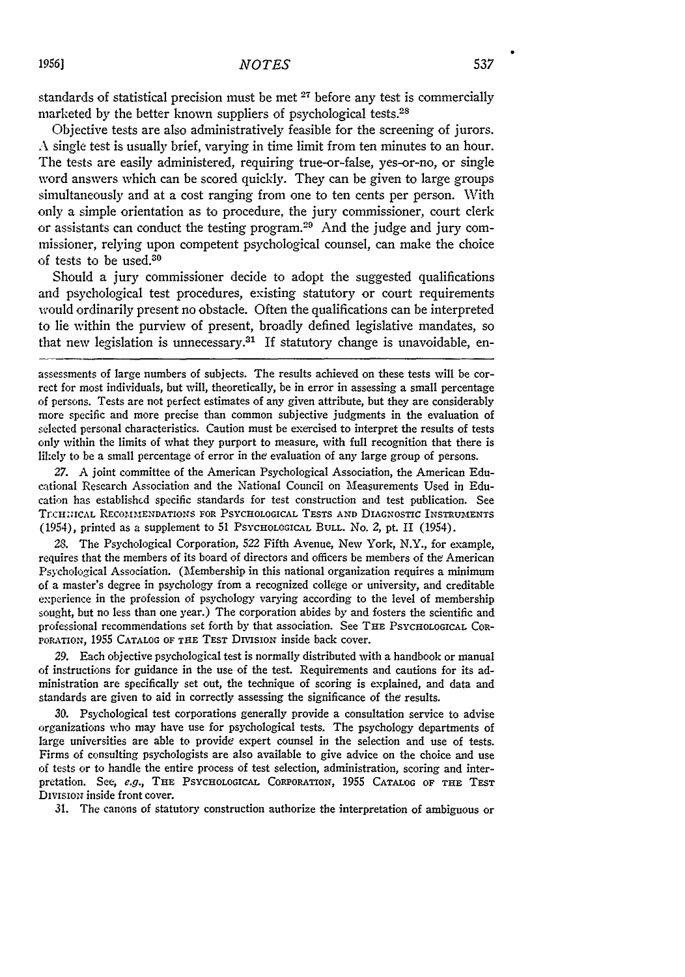standards of statistical precision must be met **27** before any test is commercially marketed by the better known suppliers of psychological tests.<sup>28</sup>

Objective tests are also administratively feasible for the screening of jurors. **A** single test is usually brief, varying in time limit from ten minutes to an hour. The tests are easily administered, requiring true-or-false, yes-or-no, or single word answers which can be scored quickly. They can be given to large groups simultaneously and at a cost ranging from one to ten cents per person. With only a simple orientation as to procedure, the jury commissioner, court clerk or assistants can conduct the testing program.<sup>29</sup> And the judge and jury commissioner, relying upon competent psychological counsel, can make the choice of tests to be used. <sup>30</sup>

Should a jury commissioner decide to adopt the suggested qualifications and psychological test procedures, existing statutory or court requirements would ordinarily present no obstacle. Often the qualifications can be interpreted to lie within the purview of present, broadly defined legislative mandates, so that new legislation is unnecessary.<sup>31</sup> If statutory change is unavoidable, en-

assessments of large numbers of subjects. The results achieved on these tests will be correct for most individuals, but will, theoretically, be in error in assessing a small percentage of persons. Tests are not perfect estimates of any given attribute, but they are considerably more specific and more precise than common subjective judgments in the evaluation of selected personal characteristics. Caution must be exercised to interpret the results of tests only within the limits of what they purport to measure, with full recognition that there is likely to be a small percentage of error in the evaluation of any large group of persons.

27. A joint committee of the American Psychological Association, the American Educational Research Association and the National Council on Measurements Used in Education has established specific standards for test construction and test publication. See TrcHICAL RECOMMENDATIONS FOR PSYCHOLOGICAL **TESTS AND DIAGNOSTIC** INSTRUIENTS (1954), printed as a supplement to 51 PSYCHOLOGICAL BULL. No. *2,* pt. II (1954).

28. The Psychological Corporation, 522 Fifth Avenue, New York, N.Y., for example, requires that the members of its board of directors and officers be members of the American Psychological Association. (Membership in this national organization requires a minimum of a master's degree in psychology from a recognized college or university, and creditable experience in the profession of psychology varying according to the level of membership sought, but no less than one year.) The corporation abides by and fosters the scientific and professional recommendations set forth **by** that association. See THE PSYCHOLOGICAL COR-POrATioN, **1955** CATALOG OF **THE** TEST DIvisioN inside back cover.

29. Each objective psychological test is normally distributed with a handbook or manual of instructions for guidance in the use of the test. Requirements and cautions for its administration are specifically set out, the technique of scoring is explained, and data and standards are given to aid in correctly assessing the significance of the results.

30. Psychological test corporations generally provide a consultation service to advise organizations who may have use for psychological tests. The psychology departments of large universities are able to provide expert counsel in the selection and use of tests. Firms of consulting psychologists are also available to give advice on the choice and use of tests or to handle the entire process of test selection, administration, scoring and interpretation. See, *e.g.,* THE PSYCHOLOGICAL CORPORATION, 1955 **CATALOG** OF **THE TEST DIVISION** inside front cover.

31. The canons of statutory construction authorize the interpretation of ambiguous or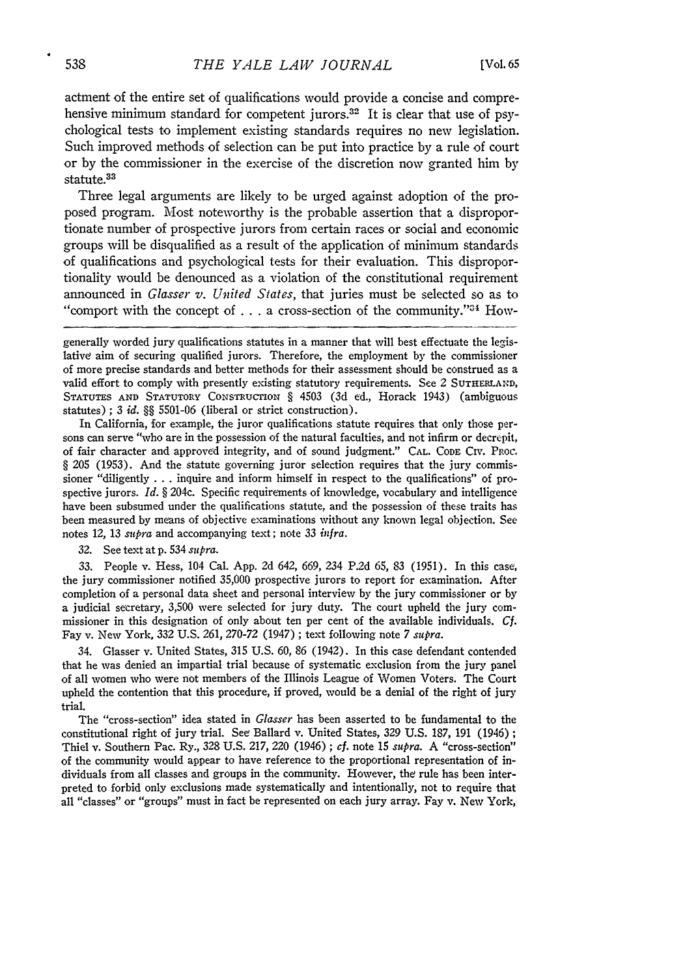actment of the entire set of qualifications would provide a concise and comprehensive minimum standard for competent jurors.<sup>32</sup> It is clear that use of psychological tests to implement existing standards requires no new legislation. Such improved methods of selection can be put into practice by a rule of court or by the commissioner in the exercise of the discretion now granted him by statute.33

Three legal arguments are likely to be urged against adoption of the proposed program. Most noteworthy is the probable assertion that a disproportionate number of prospective jurors from certain races or social and economic groups will be disqualified as a result of the application of minimum standards of qualifications and psychological tests for their evaluation. This disproportionality would be denounced as a violation of the constitutional requirement announced in *Glasser v. United States,* that juries must be selected so as to "comport with the concept of  $\dots$  a cross-section of the community."<sup>34</sup> How-

In California, for example, the juror qualifications statute requires that only those persons can serve "who are in the possession of the natural faculties, and not infirm or decrepit, of fair character and approved integrity, and of sound judgment." CAL. **CODE** CIv. PROC. § 205 (1953). And the statute governing juror selection requires that the jury commissioner "diligently  $\dots$  inquire and inform himself in respect to the qualifications" of prospective jurors. *Id.* § 204c. Specific requirements of knowledge, vocabulary and intelligence have been subsumed under the qualifications statute, and the possession of these traits has been measured by means of objective examinations without any known legal objection. See notes 12, 13 *supra* and accompanying text; note 33 infra.

32. See text at p. 534 *supra.*

33. People v. Hess, 104 Cal. App. 2d 642, 669, 234 P.2d 65, 83 (1951). In this case, the jury commissioner notified 35,000 prospective jurors to report for examination. After completion of a personal data sheet and personal interview by the jury commissioner or by a judicial secretary, 3,500 were selected for jury duty. The court upheld the jury commissioner in this designation of only about ten per cent of the available individuals. *Cf.* Fay v. New York, 332 U.S. 261, 270-72 (1947) ; text following note 7 *supra.*

34. Glasser v. United States, 315 U.S. 60, 86 (1942). In this case defendant contended that he was denied an impartial trial because of systematic exclusion from the jury panel of all women who were not members of the Illinois League of Women Voters. The Court upheld the contention that this procedure, if proved, would be a denial of the right of jury trial.

The "cross-section" idea stated in *Glasser* has been asserted to be fundamental to the constitutional right of jury trial. See Ballard v. United States, 329 U.S. 187, 191 (1946) **;** Thiel v. Southern Pac. Ry., 328 U.S. 217, 220 (1946) ; cf. note 15 supra. A "cross-section" of the community would appear to have reference to the proportional representation of individuals from all classes and groups in the community. However, the rule has been interpreted to forbid only exclusions made systematically and intentionally, not to require that all "classes" or "groups" must in fact be represented on each jury array. Fay v. New York,

generally worded jury qualifications statutes in a manner that will best effectuate the legislative aim of securing qualified jurors. Therefore, the employment by the commissioner of more precise standards and better methods for their assessment should be construed as a valid effort to comply with presently existing statutory requirements. See 2 SUTHERLAND, STATUTES **AND** STATUTORY CONSTRUCTION § 4503 (3d ed., Horack 1943) (ambiguous statutes) ; 3 *id. §§* 5501-06 (liberal or strict construction).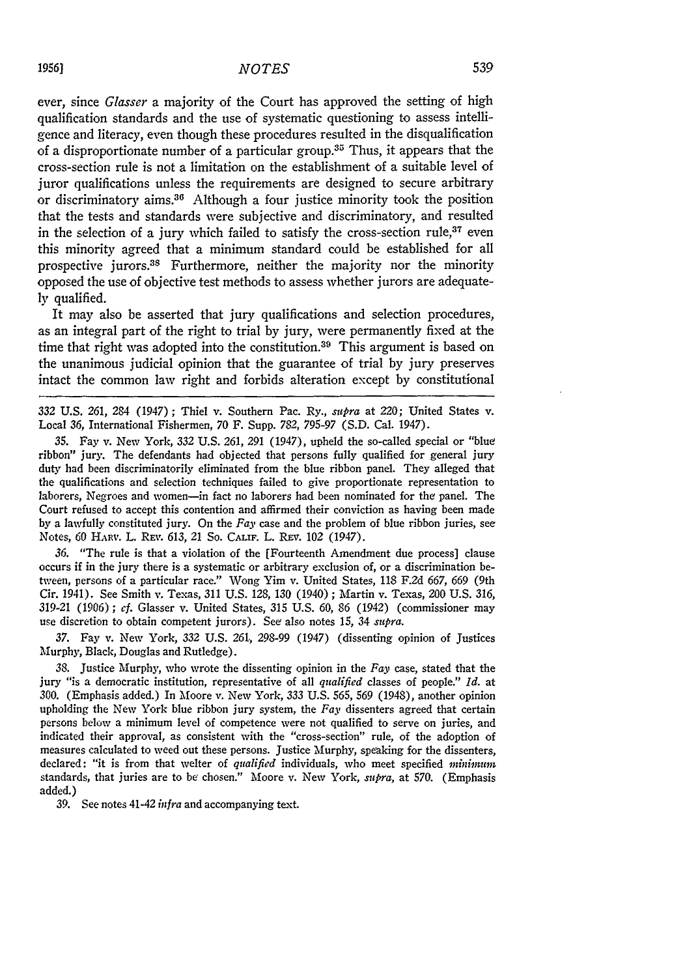ever, since *Glasser* a majority of the Court has approved the setting of high qualification standards and the use of systematic questioning to assess intelligence and literacy, even though these procedures resulted in the disqualification of a disproportionate number of a particular group.<sup>35</sup> Thus, it appears that the cross-section rule is not a limitation on the establishment of a suitable level of juror qualifications unless the requirements are designed to secure arbitrary or discriminatory aims.30 Although a four justice minority took the position that the tests and standards were subjective and discriminatory, and resulted in the selection of a jury which failed to satisfy the cross-section rule, $37$  even this minority agreed that a minimum standard could be established for all prospective jurors.38 Furthermore, neither the majority nor the minority opposed the use of objective test methods to assess whether jurors are adequate**ly** qualified.

It may also be asserted that jury qualifications and selection procedures, as an integral part of the right to trial **by** jury, were permanently fixed at the time that right was adopted into the constitution.<sup>39</sup> This argument is based on the unanimous judicial opinion that the guarantee of trial **by** jury preserves intact the common law right and forbids alteration except **by** constitutional

*332* **U.S.** 261, 284 (1947) ; Thiel v. Southern Pac. Ry., *supra* at 220; United States v. Local 36, International Fishermen, 70 F. Supp. 782, 795-97 **(S.D.** Cal. 1947).

**35.** Fay v. New York, 332 **U.S.** 261, 291 (1947), upheld the so-called special or "blue ribbon" jury. The defendants had objected that persons fully qualified for general jury duty had been discriminatorily eliminated from the blue ribbon panel. They alleged that the qualifications and selection techniques failed to give proportionate representation to laborers, Negroes and women-in fact no laborers had been nominated for the panel. The Court refused to accept this contention and affirmed their conviction as having been made **by** a lawfully constituted jury. On the *Fay* case and the problem of blue ribbon juries, see Notes, 60 **HARV.** L. **REv.** 613, 21 So. **CALIF.** L. REV. 102 (1947).

*36.* "The rule is that a violation of the [Fourteenth Amendment due process] clause occurs if in the jury there is a systematic or arbitrary exclusion of, or a discrimination between, persons of a particular race." Wong Yim v. United States, **118** F.2d 667, 669 (9th Cir. 1941). See Smith v. Texas, 311 **U.S.** 128, 130 (1940) ; Martin v. Texas, 200 **U.S.** 316, 319-21 (1906) ; *cf.* Glasser v. United States, 315 U.S. *60,* 86 (1942) (commissioner may use discretion to obtain competent jurors). See also notes *15,* 34 *supra.*

**37.** Fay v. New York, 332 **U.S.** *261.,* 298-99 (1947) (dissenting opinion of Justices Murphy, Black, Douglas and Rutledge).

**38.** Justice Murphy, who wrote the dissenting opinion in the *Fay* case, stated that the jury "is a democratic institution, representative of all *qualified* classes of people." *Id.* at 300. (Emphasis added.) In Moore v. New York, 333 **U.S.** 565, *569* (1948), another opinion upholding the New York blue ribbon jury system, the *Fay* dissenters agreed that certain persons below a minimum level of competence were not qualified to serve on juries, and indicated their approval, as consistent with the "cross-section" rule, of the adoption of measures calculated to weed out these persons. Justice Murphy, speaking for the dissenters, declared: "it is from that welter of *qualified* individuals, who meet specified *miimum* standards, that juries are to be chosen." Moore v. New York, *supra,* at 570. (Emphasis added.)

**39.** See notes 41-42 *infra* and accompanying text.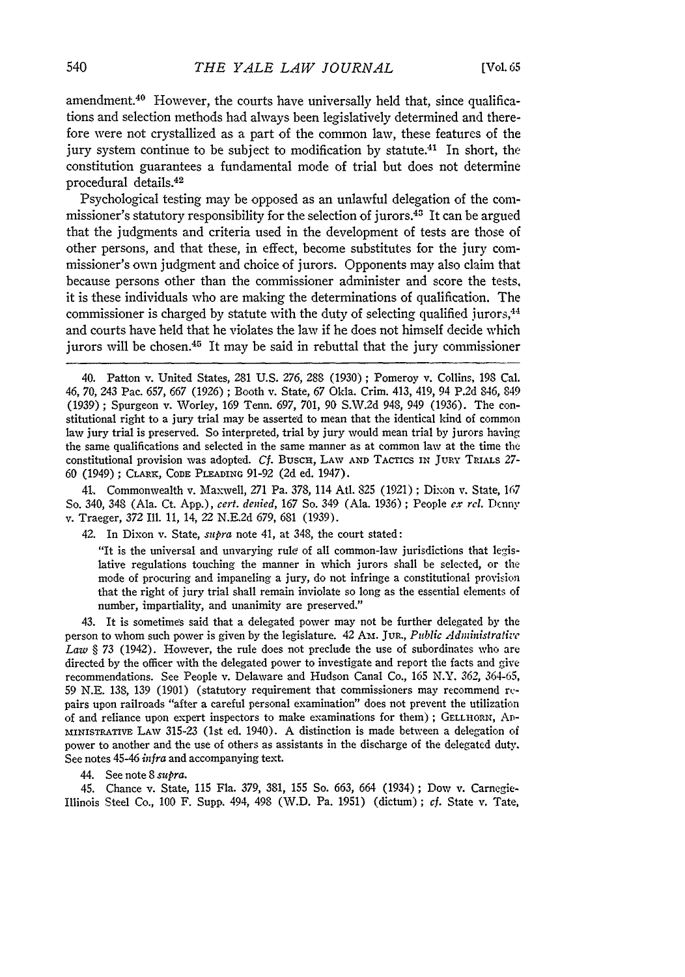amendment.<sup>40</sup> However, the courts have universally held that, since qualifications and selection methods had always been legislatively determined and therefore were not crystallized as a part of the common law, these features **of** the jury system continue to be subject to modification by statute.<sup>41</sup> In short, the constitution guarantees a fundamental mode of trial but does not determine procedural details.<sup>42</sup>

Psychological testing may be opposed as an unlawful delegation of the commissioner's statutory responsibility for the selection of jurors.43 It can be argued that the judgments and criteria used in the development of tests are those of other persons, and that these, in effect, become substitutes for the jury commissioner's own judgment and choice of jurors. Opponents may also claim that because persons other than the commissioner administer and score the tests, it is these individuals who are making the determinations of qualification. The commissioner is charged by statute with the duty of selecting qualified jurors, $44$ and courts have held that he violates the law if he does not himself decide which jurors will be chosen.<sup>45</sup> It may be said in rebuttal that the jury commissioner

40. Patton v. United States, 281 U.S. 276, 288 (1930) ; Pomeroy v. Collins, 198 Cal. 46, 70, 243 Pac. 657, 667 (1926) ; Booth v. State, 67 Okla. Crim. 413, 419, 94 P.2d 846, 849 (1939) ; Spurgeon v. Worley, 169 Tenn. 697, 701, **90** S.W.2d 948, 949 (1936). The constitutional right to a jury trial may be asserted to mean that the identical kind of common law jury trial is preserved. So interpreted, trial by jury would mean trial by jurors having the same qualifications and selected in the same manner as at common law at the time the constitutional provision was adopted. Cf. Busch, LAW AND TACTICS IN JURY TRIALS 27-60 (1949); CLARK, CODE PLEADING 91-92 (2d ed. 1947).

41. Commonwealth v. Maxwell, 271 Pa. 378, 114 AtI. 825 (1921) ; Dixon v. State, 167 So. 340, 348 (Ala. Ct. App.), *cert. denied,* 167 So. 349 (Ala. 1936) ; People *ex rel.* Denny v. Traeger, 372 Ill. 11, 14, 22 N.E.2d 679, 681 (1939).

42. In Dixon v. State, *supra* note 41, at 348, the court stated:

"It is the universal and unvarying rule of all common-law jurisdictions that legislative regulations touching the manner in which jurors shall be selected, or the mode of procuring and impaneling a jury, do not infringe a constitutional provision that the right of jury trial shall remain inviolate so long as the essential elements of number, impartiality, and unanimity are preserved."

43. It is sometimes said that a delegated power may not be further delegated by the person to whom such power is given by the legislature. 42 **Ax.** JUR., *Public Admziistratire Law §* 73 (1942). However, the rule does not preclude the use of subordinates who are directed by the officer with the delegated power to investigate and report the facts and give recommendations. See People v. Delaware and Hudson Canal Co., 165 N.Y. 362, 364-65, 59 N.E. 138, **139** (1901) (statutory requirement that commissioners may recommend rcpairs upon railroads "after a careful personal examination" does not prevent the utilization of and reliance upon expert inspectors to make examinations for them) **; GELLHORN, AD**mINIsTRATivE LAw 315-23 (1st ed. 1940). A distinction is made between a delegation of power to another and the use of others as assistants in the discharge of the delegated duty. See notes 45-46 *infra* and accompanying text.

44. See note 8 *supra.*

45. Chance v. State, 115 Fla. 379, 381, 155 So. 663, 664 (1934); Dow v. Carnegie-Illinois Steel Co., 100 F. Supp. 494, 498 (W.D. Pa. 1951) (dictum);  $cf.$  State v. Tate,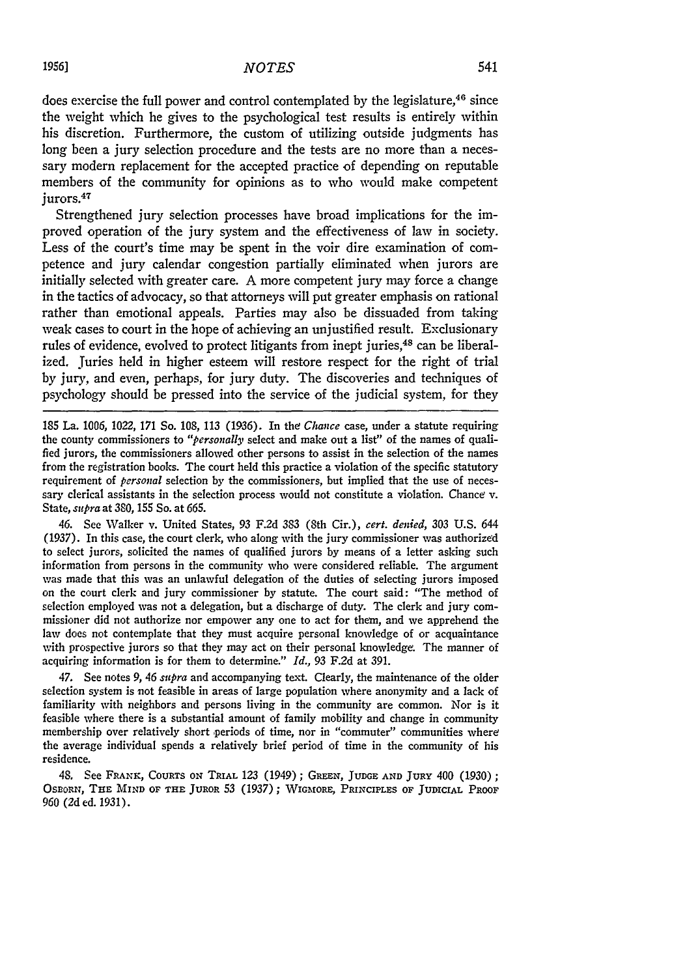does exercise the full power and control contemplated by the legislature,<sup>46</sup> since the weight which he gives to the psychological test results is entirely within his discretion. Furthermore, the custom of utilizing outside judgments has long been a jury selection procedure and the tests are no more than a necessary modern replacement for the accepted practice of depending on reputable members of the community for opinions as to who would make competent jurors.<sup>47</sup>

Strengthened jury selection processes have broad implications for the improved operation of the jury system and the effectiveness of law in society. Less of the court's time may be spent in the voir dire examination of competence and jury calendar congestion partially eliminated when jurors are initially selected with greater care. A more competent jury may force a change in the tactics of advocacy, so that attorneys will put greater emphasis on rational rather than emotional appeals. Parties may also be dissuaded from taking weak cases to court in the hope of achieving an unjustified result. Exclusionary rules of evidence, evolved to protect litigants from inept juries,<sup>48</sup> can be liberalized. Juries held in higher esteem will restore respect for the right of trial by jury, and even, perhaps, for jury duty. The discoveries and techniques of psychology should be pressed into the service of the judicial system, for they

185 La. 1006, 1022, **171** So. 108, 113 (1936). In the Chance case, under a statute requiring the county commissioners to *"personally* select and make out a list" of the names of qualified jurors, the commissioners allowed other persons to assist in the selection of the names from the registration books. The court held this practice a violation of the specific statutory requirement of *personal* selection by the commissioners, but implied that the use of necessary clerical assistants in the selection process would not constitute a violation. Chance v. State, *supra* at 380, 155 So. at 665.

*46.* See Walker v. United States, 93 F.2d 383 (8th Cir.), *cert. denied,* 303 U.S. 644 (1937). In this case, the court clerk, who along with the jury commissioner was authorized to select jurors, solicited the names of qualified jurors by means of a letter asking such information from persons in the community who were considered reliable. The argument was made that this was an unlawful delegation of the duties of selecting jurors imposed on the court clerk and jury commissioner by statute. The court said: "The method of selection employed was not a delegation, but a discharge of duty. The clerk and jury commissioner did not authorize nor empower any one to act for them, and we apprehend the law does not contemplate that they must acquire personal knowledge of or acquaintance with prospective jurors so that they may act on their personal knowledge. The manner of acquiring information is for them to determine." *Id.,* 93 F.2d at 391.

47. See notes *9, 46 supra* and accompanying text. Clearly, the maintenance of the older selection system is not feasible in areas of large population where anonymity and a lack of familiarity with neighbors and persons living in the community are common. Nor is it feasible where there is a substantial amount of family mobility and change in community membership over relatively short periods of time, nor in "commuter" communities where the average individual spends a relatively brief period of time in the community of his residence.

48, See FRANK, CouRTs **ON TRIAL** 123 (1949) ; GREEN, **JUDGE AND** JURY 400 (1930); OsEoRN, TiE **MIND OF THE** JUROR 53 **(1937); WIGMORE,** PRINCIPLES **OF JUDICIAL PROOF** 960 (2d ed. 1931).